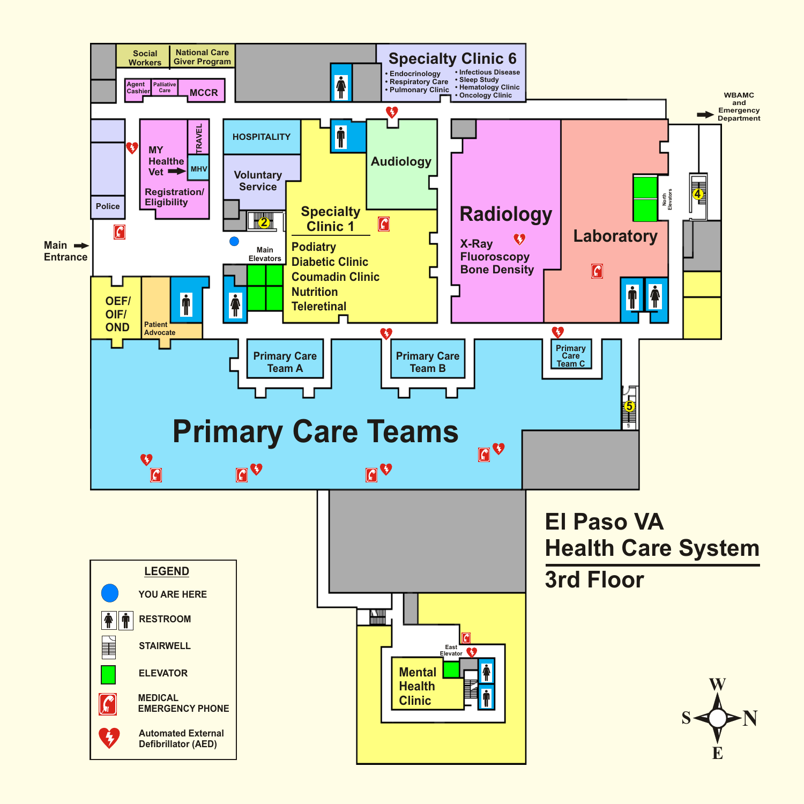